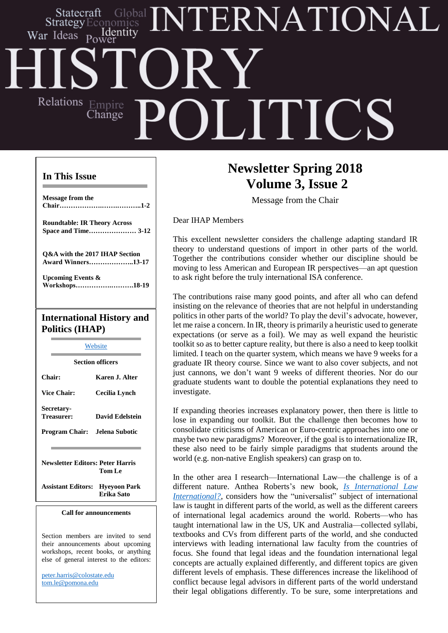# TERNATIONAL Statecraft Identity War Ideas Relations Empire **JITIC** Change

## **In This Issue**

**Message from the Chair……………….…….………..1-2**

**Roundtable: IR Theory Across Space and Time………………… 3-12**

**Q&A with the 2017 IHAP Section Award Winners………………..13-17**

**Upcoming Events & Workshops…………….……….18-19**

# **International History and Politics (IHAP)**

**[Website](http://web.apsanet.org/ihap/) Section officers Chair: Karen J. Alter Vice Chair: Cecilia Lynch Secretary-Treasurer: David Edelstein Program Chair: Jelena Subotic**

**Newsletter Editors: Peter Harris Tom Le**

**Assistant Editors: Hyeyoon Park Erika Sato**

#### **Call for announcements**

Section members are invited to send their announcements about upcoming workshops, recent books, or anything else of general interest to the editors:

[peter.harris@colostate.edu](mailto:peter.harris@colostate.edu) [tom.le@pomona.edu](mailto:tom.le@pomona.edu)

# **Newsletter Spring 2018 Volume 3, Issue 2**

Message from the Chair

Dear IHAP Members

This excellent newsletter considers the challenge adapting standard IR theory to understand questions of import in other parts of the world. Together the contributions consider whether our discipline should be moving to less American and European IR perspectives—an apt question to ask right before the truly international ISA conference.

The contributions raise many good points, and after all who can defend insisting on the relevance of theories that are not helpful in understanding politics in other parts of the world? To play the devil's advocate, however, let me raise a concern. In IR, theory is primarily a heuristic used to generate expectations (or serve as a foil). We may as well expand the heuristic toolkit so as to better capture reality, but there is also a need to keep toolkit limited. I teach on the quarter system, which means we have 9 weeks for a graduate IR theory course. Since we want to also cover subjects, and not just cannons, we don't want 9 weeks of different theories. Nor do our graduate students want to double the potential explanations they need to investigate.

If expanding theories increases explanatory power, then there is little to lose in expanding our toolkit. But the challenge then becomes how to consolidate criticisms of American or Euro-centric approaches into one or maybe two new paradigms? Moreover, if the goal is to internationalize IR, these also need to be fairly simple paradigms that students around the world (e.g. non-native English speakers) can grasp on to.

their legal obligations differently. To be sure, some interpretations and In the other area I research—International Law—the challenge is of a different nature. Anthea Roberts's new book, *Is [International](https://global.oup.com/academic/product/is-international-law-international-9780190696412?cc=ch&lang=en&) Law [International?](https://global.oup.com/academic/product/is-international-law-international-9780190696412?cc=ch&lang=en&)*, considers how the "universalist" subject of international law is taught in different parts of the world, as well as the different careers of international legal academics around the world. Roberts—who has taught international law in the US, UK and Australia—collected syllabi, textbooks and CVs from different parts of the world, and she conducted interviews with leading international law faculty from the countries of focus. She found that legal ideas and the foundation international legal concepts are actually explained differently, and different topics are given different levels of emphasis. These differences increase the likelihood of conflict because legal advisors in different parts of the world understand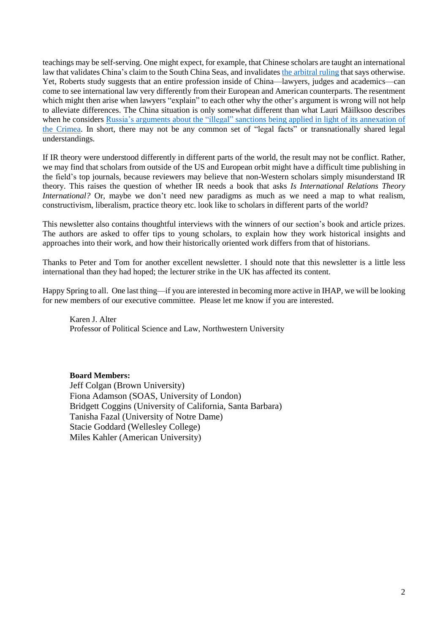teachings may be self-serving. One might expect, for example, that Chinese scholars are taught an international law that validates China's claim to the South China Seas, and invalidates the [arbitral](https://www.asil.org/insights/volume/20/issue/17/south-china-sea-arbitration) ruling that says otherwise. Yet, Roberts study suggests that an entire profession inside of China—lawyers, judges and academics—can come to see international law very differently from their European and American counterparts. The resentment which might then arise when lawyers "explain" to each other why the other's argument is wrong will not help to alleviate differences. The China situation is only somewhat different than what Lauri Mäilksoo describes when he considers Russia's arguments about the "illegal" sanctions being applied in light of its [annexation](https://blog.oup.com/2017/09/russia-sanctions-international-law/) of the [Crimea.](https://blog.oup.com/2017/09/russia-sanctions-international-law/) In short, there may not be any common set of "legal facts" or transnationally shared legal understandings.

If IR theory were understood differently in different parts of the world, the result may not be conflict. Rather, we may find that scholars from outside of the US and European orbit might have a difficult time publishing in the field's top journals, because reviewers may believe that non-Western scholars simply misunderstand IR theory. This raises the question of whether IR needs a book that asks *Is International Relations Theory International?* Or, maybe we don't need new paradigms as much as we need a map to what realism, constructivism, liberalism, practice theory etc. look like to scholars in different parts of the world?

This newsletter also contains thoughtful interviews with the winners of our section's book and article prizes. The authors are asked to offer tips to young scholars, to explain how they work historical insights and approaches into their work, and how their historically oriented work differs from that of historians.

Thanks to Peter and Tom for another excellent newsletter. I should note that this newsletter is a little less international than they had hoped; the lecturer strike in the UK has affected its content.

Happy Spring to all. One last thing—if you are interested in becoming more active in IHAP, we will be looking for new members of our executive committee. Please let me know if you are interested.

Karen J. Alter Professor of Political Science and Law, Northwestern University

**Board Members:**

Jeff Colgan (Brown University) Fiona Adamson (SOAS, University of London) Bridgett Coggins (University of California, Santa Barbara) Tanisha Fazal (University of Notre Dame) Stacie Goddard (Wellesley College) Miles Kahler (American University)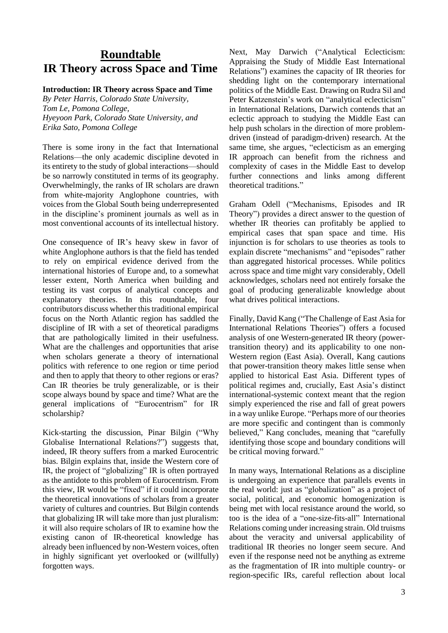# **Roundtable IR Theory across Space and Time**

## **Introduction: IR Theory across Space and Time**

*By Peter Harris, Colorado State University, Tom Le, Pomona College, Hyeyoon Park, Colorado State University, and Erika Sato, Pomona College*

There is some irony in the fact that International Relations—the only academic discipline devoted in its entirety to the study of global interactions—should be so narrowly constituted in terms of its geography. Overwhelmingly, the ranks of IR scholars are drawn from white-majority Anglophone countries, with voices from the Global South being underrepresented in the discipline's prominent journals as well as in most conventional accounts of its intellectual history.

One consequence of IR's heavy skew in favor of white Anglophone authors is that the field has tended to rely on empirical evidence derived from the international histories of Europe and, to a somewhat lesser extent, North America when building and testing its vast corpus of analytical concepts and explanatory theories. In this roundtable, four contributors discuss whether this traditional empirical focus on the North Atlantic region has saddled the discipline of IR with a set of theoretical paradigms that are pathologically limited in their usefulness. What are the challenges and opportunities that arise when scholars generate a theory of international politics with reference to one region or time period and then to apply that theory to other regions or eras? Can IR theories be truly generalizable, or is their scope always bound by space and time? What are the general implications of "Eurocentrism" for IR scholarship?

Kick-starting the discussion, Pinar Bilgin ("Why Globalise International Relations?") suggests that, indeed, IR theory suffers from a marked Eurocentric bias. Bilgin explains that, inside the Western core of IR, the project of "globalizing" IR is often portrayed as the antidote to this problem of Eurocentrism. From this view, IR would be "fixed" if it could incorporate the theoretical innovations of scholars from a greater variety of cultures and countries. But Bilgin contends that globalizing IR will take more than just pluralism: it will also require scholars of IR to examine how the existing canon of IR-theoretical knowledge has already been influenced by non-Western voices, often in highly significant yet overlooked or (willfully) forgotten ways.

Next, May Darwich ("Analytical Eclecticism: Appraising the Study of Middle East International Relations") examines the capacity of IR theories for shedding light on the contemporary international politics of the Middle East. Drawing on Rudra Sil and Peter Katzenstein's work on "analytical eclecticism" in International Relations, Darwich contends that an eclectic approach to studying the Middle East can help push scholars in the direction of more problemdriven (instead of paradigm-driven) research. At the same time, she argues, "eclecticism as an emerging IR approach can benefit from the richness and complexity of cases in the Middle East to develop further connections and links among different theoretical traditions."

Graham Odell ("Mechanisms, Episodes and IR Theory") provides a direct answer to the question of whether IR theories can profitably be applied to empirical cases that span space and time. His injunction is for scholars to use theories as tools to explain discrete "mechanisms" and "episodes" rather than aggregated historical processes. While politics across space and time might vary considerably, Odell acknowledges, scholars need not entirely forsake the goal of producing generalizable knowledge about what drives political interactions.

Finally, David Kang ("The Challenge of East Asia for International Relations Theories") offers a focused analysis of one Western-generated IR theory (powertransition theory) and its applicability to one non-Western region (East Asia). Overall, Kang cautions that power-transition theory makes little sense when applied to historical East Asia. Different types of political regimes and, crucially, East Asia's distinct international-systemic context meant that the region simply experienced the rise and fall of great powers in a way unlike Europe. "Perhaps more of our theories are more specific and contingent than is commonly believed," Kang concludes, meaning that "carefully identifying those scope and boundary conditions will be critical moving forward."

In many ways, International Relations as a discipline is undergoing an experience that parallels events in the real world: just as "globalization" as a project of social, political, and economic homogenization is being met with local resistance around the world, so too is the idea of a "one-size-fits-all" International Relations coming under increasing strain. Old truisms about the veracity and universal applicability of traditional IR theories no longer seem secure. And even if the response need not be anything as extreme as the fragmentation of IR into multiple country- or region-specific IRs, careful reflection about local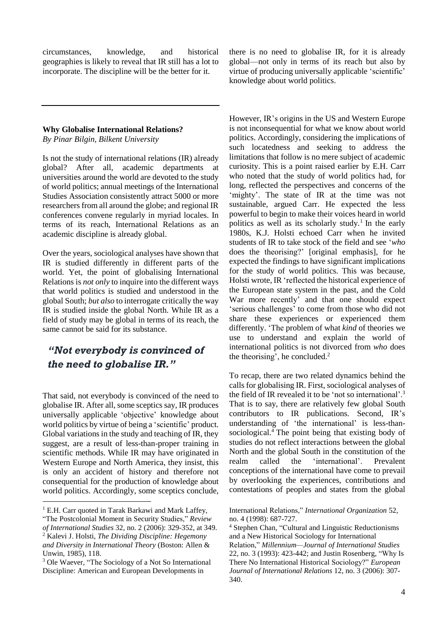circumstances, knowledge, and historical geographies is likely to reveal that IR still has a lot to incorporate. The discipline will be the better for it.

#### **Why Globalise International Relations?**

*By Pinar Bilgin, Bilkent University*

Is not the study of international relations (IR) already global? After all, academic departments at universities around the world are devoted to the study of world politics; annual meetings of the International Studies Association consistently attract 5000 or more researchers from all around the globe; and regional IR conferences convene regularly in myriad locales. In terms of its reach, International Relations as an academic discipline is already global.

Over the years, sociological analyses have shown that IR is studied differently in different parts of the world. Yet, the point of globalising International Relations is *not only* to inquire into the different ways that world politics is studied and understood in the global South; *but also* to interrogate critically the way IR is studied inside the global North. While IR as a field of study may be global in terms of its reach, the same cannot be said for its substance.

# *"Not everybody is convinced of the need to globalise IR."*

That said, not everybody is convinced of the need to globalise IR. After all, some sceptics say, IR produces universally applicable 'objective' knowledge about world politics by virtue of being a 'scientific' product. Global variations in the study and teaching of IR, they suggest, are a result of less-than-proper training in scientific methods. While IR may have originated in Western Europe and North America, they insist, this is only an accident of history and therefore not consequential for the production of knowledge about world politics. Accordingly, some sceptics conclude,

1

there is no need to globalise IR, for it is already global—not only in terms of its reach but also by virtue of producing universally applicable 'scientific' knowledge about world politics.

However, IR's origins in the US and Western Europe is not inconsequential for what we know about world politics. Accordingly, considering the implications of such locatedness and seeking to address the limitations that follow is no mere subject of academic curiosity. This is a point raised earlier by E.H. Carr who noted that the study of world politics had, for long, reflected the perspectives and concerns of the 'mighty'. The state of IR at the time was not sustainable, argued Carr. He expected the less powerful to begin to make their voices heard in world politics as well as its scholarly study. 1 In the early 1980s, K.J. Holsti echoed Carr when he invited students of IR to take stock of the field and see '*who* does the theorising?' [original emphasis], for he expected the findings to have significant implications for the study of world politics. This was because, Holsti wrote, IR 'reflected the historical experience of the European state system in the past, and the Cold War more recently' and that one should expect 'serious challenges' to come from those who did not share these experiences or experienced them differently. 'The problem of what *kind* of theories we use to understand and explain the world of international politics is not divorced from *who* does the theorising', he concluded. $<sup>2</sup>$ </sup>

To recap, there are two related dynamics behind the calls for globalising IR. First, sociological analyses of the field of IR revealed it to be 'not so international'.<sup>3</sup> That is to say, there are relatively few global South contributors to IR publications. Second, IR's understanding of 'the international' is less-thansociological.<sup>4</sup> The point being that existing body of studies do not reflect interactions between the global North and the global South in the constitution of the realm called the 'international'. Prevalent conceptions of the international have come to prevail by overlooking the experiences, contributions and contestations of peoples and states from the global

 $1$  E.H. Carr quoted in Tarak Barkawi and Mark Laffey,

<sup>&</sup>quot;The Postcolonial Moment in Security Studies," *Review of International Studies* 32, no. 2 (2006): 329-352, at 349. <sup>2</sup> Kalevi J. Holsti, *The Dividing Discipline: Hegemony*

*and Diversity in International Theory* (Boston: Allen & Unwin, 1985), 118.

<sup>3</sup> Ole Waever, "The Sociology of a Not So International Discipline: American and European Developments in

International Relations," *International Organization* 52, no. 4 (1998): 687-727.

<sup>4</sup> Stephen Chan, "Cultural and Linguistic Reductionisms and a New Historical Sociology for International Relation," *Millennium—Journal of International Studies* 22, no. 3 (1993): 423-442; and Justin Rosenberg, "Why Is There No International Historical Sociology?" *European Journal of International Relations* 12, no. 3 (2006): 307- 340.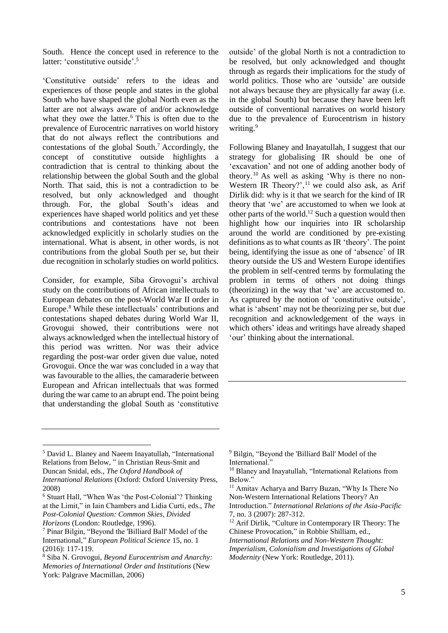South. Hence the concept used in reference to the latter: 'constitutive outside'.<sup>5</sup>

'Constitutive outside' refers to the ideas and experiences of those people and states in the global South who have shaped the global North even as the latter are not always aware of and/or acknowledge what they owe the latter.<sup>6</sup> This is often due to the prevalence of Eurocentric narratives on world history that do not always reflect the contributions and contestations of the global South.<sup>7</sup> Accordingly, the concept of constitutive outside highlights a contradiction that is central to thinking about the relationship between the global South and the global North. That said, this is not a contradiction to be resolved, but only acknowledged and thought through. For, the global South's ideas and experiences have shaped world politics and yet these contributions and contestations have not been acknowledged explicitly in scholarly studies on the international. What is absent, in other words, is not contributions from the global South per se, but their due recognition in scholarly studies on world politics.

Consider, for example, Siba Grovogui's archival study on the contributions of African intellectuals to European debates on the post-World War II order in Europe.<sup>8</sup> While these intellectuals' contributions and contestations shaped debates during World War II, Grovogui showed, their contributions were not always acknowledged when the intellectual history of this period was written. Nor was their advice regarding the post-war order given due value, noted Grovogui. Once the war was concluded in a way that was favourable to the allies, the camaraderie between European and African intellectuals that was formed during the war came to an abrupt end. The point being that understanding the global South as 'constitutive

outside' of the global North is not a contradiction to be resolved, but only acknowledged and thought through as regards their implications for the study of world politics. Those who are 'outside' are outside not always because they are physically far away (i.e. in the global South) but because they have been left outside of conventional narratives on world history due to the prevalence of Eurocentrism in history writing.<sup>9</sup>

Following Blaney and Inayatullah, I suggest that our strategy for globalising IR should be one of 'excavation' and not one of adding another body of theory.<sup>10</sup> As well as asking 'Why is there no non-Western IR Theory?',<sup>11</sup> we could also ask, as Arif Dirlik did: why is it that we search for the kind of IR theory that 'we' are accustomed to when we look at other parts of the world.<sup>12</sup> Such a question would then highlight how our inquiries into IR scholarship around the world are conditioned by pre-existing definitions as to what counts as IR 'theory'. The point being, identifying the issue as one of 'absence' of IR theory outside the US and Western Europe identifies the problem in self-centred terms by formulating the problem in terms of others not doing things (theorizing) in the way that 'we' are accustomed to. As captured by the notion of 'constitutive outside', what is 'absent' may not be theorizing per se, but due recognition and acknowledgement of the ways in which others' ideas and writings have already shaped 'our' thinking about the international.

<u>.</u>

<sup>5</sup> David L. Blaney and Naeem Inayatullah, "International Relations from Below, " in Christian Reus-Smit and Duncan Snidal, eds., *The Oxford Handbook of International Relations* (Oxford: Oxford University Press, 2008)

<sup>6</sup> Stuart Hall, "When Was 'the Post-Colonial'? Thinking at the Limit," in Iain Chambers and Lidia Curti, eds., *The Post-Colonial Question: Common Skies, Divided Horizons* (London: Routledge, 1996).

<sup>7</sup> Pinar Bilgin, "Beyond the 'Billiard Ball' Model of the International," *European Political Science* 15, no. 1 (2016): 117-119.

<sup>8</sup> Siba N. Grovogui, *Beyond Eurocentrism and Anarchy: Memories of International Order and Institutions* (New York: Palgrave Macmillan, 2006)

<sup>9</sup> Bilgin, "Beyond the 'Billiard Ball' Model of the International."

<sup>10</sup> Blaney and Inayatullah, "International Relations from Below."

<sup>&</sup>lt;sup>11</sup> Amitav Acharya and Barry Buzan, "Why Is There No Non-Western International Relations Theory? An Introduction." *International Relations of the Asia-Pacific*

<sup>7,</sup> no. 3 (2007): 287-312. <sup>12</sup> Arif Dirlik, "Culture in Contemporary IR Theory: The

Chinese Provocation," in Robbie Shilliam, ed.,

*International Relations and Non-Western Thought: Imperialism, Colonialism and Investigations of Global Modernity* (New York: Routledge, 2011).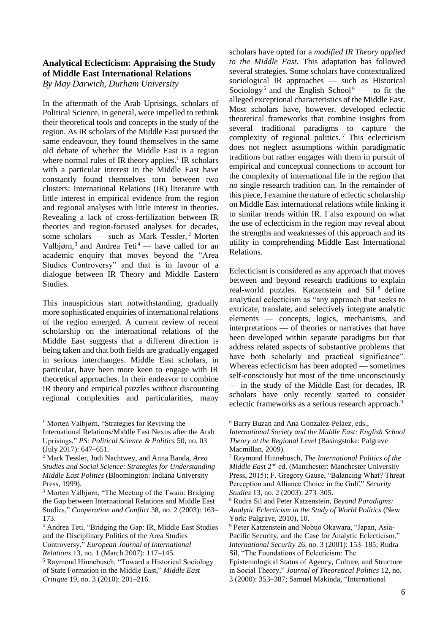# **Analytical Eclecticism: Appraising the Study of Middle East International Relations**

*By May Darwich, Durham University*

In the aftermath of the Arab Uprisings, scholars of Political Science, in general, were impelled to rethink their theoretical tools and concepts in the study of the region. As IR scholars of the Middle East pursued the same endeavour, they found themselves in the same old debate of whether the Middle East is a region where normal rules of IR theory applies.<sup>1</sup> IR scholars with a particular interest in the Middle East have constantly found themselves torn between two clusters: International Relations (IR) literature with little interest in empirical evidence from the region and regional analyses with little interest in theories. Revealing a lack of cross-fertilization between IR theories and region-focused analyses for decades, some scholars — such as Mark Tessler,<sup>2</sup> Morten Valbjørn,<sup>3</sup> and Andrea Teti<sup>4</sup> — have called for an academic enquiry that moves beyond the "Area Studies Controversy" and that is in favour of a dialogue between IR Theory and Middle Eastern Studies.

This inauspicious start notwithstanding, gradually more sophisticated enquiries of international relations of the region emerged. A current review of recent scholarship on the international relations of the Middle East suggests that a different direction is being taken and that both fields are gradually engaged in serious interchanges. Middle East scholars, in particular, have been more keen to engage with IR theoretical approaches. In their endeavor to combine IR theory and empirical puzzles without discounting regional complexities and particularities, many

1

scholars have opted for a *modified IR Theory applied to the Middle East.* This adaptation has followed several strategies. Some scholars have contextualized sociological IR approaches — such as Historical Sociology<sup>5</sup> and the English School<sup>6</sup> — to fit the alleged exceptional characteristics of the Middle East. Most scholars have, however, developed eclectic theoretical frameworks that combine insights from several traditional paradigms to capture the complexity of regional politics. <sup>7</sup> This eclecticism does not neglect assumptions within paradigmatic traditions but rather engages with them in pursuit of empirical and conceptual connections to account for the complexity of international life in the region that no single research tradition can. In the remainder of this piece, I examine the nature of eclectic scholarship on Middle East international relations while linking it to similar trends within IR. I also expound on what the use of eclecticism in the region may reveal about the strengths and weaknesses of this approach and its utility in comprehending Middle East International Relations.

Eclecticism is considered as any approach that moves between and beyond research traditions to explain real-world puzzles. Katzenstein and Sil <sup>8</sup> define analytical eclecticism as "any approach that seeks to extricate, translate, and selectively integrate analytic elements — concepts, logics, mechanisms, and interpretations — of theories or narratives that have been developed within separate paradigms but that address related aspects of substantive problems that have both scholarly and practical significance". Whereas eclecticism has been adopted — sometimes self-consciously but most of the time unconsciously — in the study of the Middle East for decades, IR scholars have only recently started to consider eclectic frameworks as a serious research approach.<sup>9</sup>

<sup>&</sup>lt;sup>1</sup> Morten Valbjørn, "Strategies for Reviving the

International Relations/Middle East Nexus after the Arab Uprisings," *PS: Political Science & Politics* 50, no. 03 (July 2017): 647–651.

<sup>2</sup> Mark Tessler, Jodi Nachtwey, and Anna Banda, *Area Studies and Social Science: Strategies for Understanding Middle East Politics* (Bloomington: Indiana University Press, 1999).

<sup>3</sup> Morten Valbjørn, "The Meeting of the Twain: Bridging the Gap between International Relations and Middle East Studies," *Cooperation and Conflict* 38, no. 2 (2003): 163– 173.

<sup>4</sup> Andrea Teti, "Bridging the Gap: IR, Middle East Studies and the Disciplinary Politics of the Area Studies Controversy," *European Journal of International Relations* 13, no. 1 (March 2007): 117–145.

<sup>5</sup> Raymond Hinnebusch, "Toward a Historical Sociology of State Formation in the Middle East," *Middle East Critique* 19, no. 3 (2010): 201–216.

<sup>6</sup> Barry Buzan and Ana Gonzalez-Pelaez, eds.,

*International Society and the Middle East: English School Theory at the Regional Level* (Basingstoke: Palgrave Macmillan, 2009).

<sup>7</sup> Raymond Hinnebusch, *The International Politics of the*  Middle East 2<sup>nd</sup> ed. (Manchester: Manchester University Press, 2015); F. Gregory Gause, "Balancing What? Threat Perception and Alliance Choice in the Gulf," *Security Studies* 13, no. 2 (2003): 273–305.

<sup>8</sup> Rudra Sil and Peter Katzenstein, *Beyond Paradigms: Analytic Eclecticism in the Study of World Politics* (New York: Palgrave, 2010), 10.

<sup>9</sup> Peter Katzenstein and Nobuo Okawara, "Japan, Asia-Pacific Security, and the Case for Analytic Eclecticism," *International Security* 26, no. 3 (2001): 153–185; Rudra Sil, "The Foundations of Eclecticism: The

Epistemological Status of Agency, Culture, and Structure in Social Theory," *Journal of Theoretical Politics* 12, no. 3 (2000): 353–387; Samuel Makinda, "International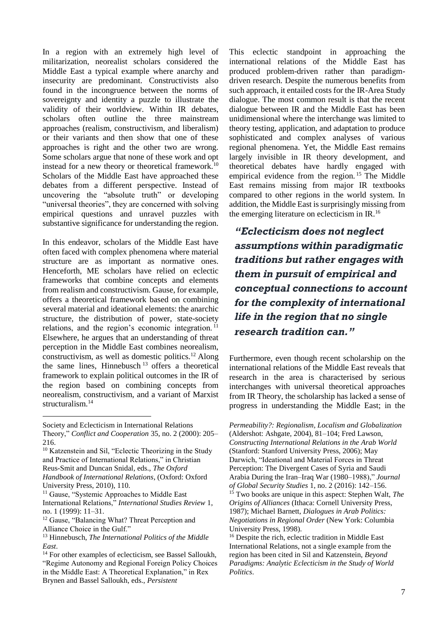In a region with an extremely high level of militarization, neorealist scholars considered the Middle East a typical example where anarchy and insecurity are predominant. Constructivists also found in the incongruence between the norms of sovereignty and identity a puzzle to illustrate the validity of their worldview. Within IR debates, scholars often outline the three mainstream approaches (realism, constructivism, and liberalism) or their variants and then show that one of these approaches is right and the other two are wrong. Some scholars argue that none of these work and opt instead for a new theory or theoretical framework.<sup>10</sup> Scholars of the Middle East have approached these debates from a different perspective. Instead of uncovering the "absolute truth" or developing "universal theories", they are concerned with solving empirical questions and unravel puzzles with substantive significance for understanding the region.

In this endeavor, scholars of the Middle East have often faced with complex phenomena where material structure are as important as normative ones. Henceforth, ME scholars have relied on eclectic frameworks that combine concepts and elements from realism and constructivism. Gause, for example, offers a theoretical framework based on combining several material and ideational elements: the anarchic structure, the distribution of power, state-society relations, and the region's economic integration. <sup>11</sup> Elsewhere, he argues that an understanding of threat perception in the Middle East combines neorealism, constructivism, as well as domestic politics.<sup>12</sup> Along the same lines, Hinnebusch <sup>13</sup> offers a theoretical framework to explain political outcomes in the IR of the region based on combining concepts from neorealism, constructivism, and a variant of Marxist structuralism.<sup>14</sup>

<u>.</u>

This eclectic standpoint in approaching the international relations of the Middle East has produced problem-driven rather than paradigmdriven research. Despite the numerous benefits from such approach, it entailed costs for the IR-Area Study dialogue. The most common result is that the recent dialogue between IR and the Middle East has been unidimensional where the interchange was limited to theory testing, application, and adaptation to produce sophisticated and complex analyses of various regional phenomena. Yet, the Middle East remains largely invisible in IR theory development, and theoretical debates have hardly engaged with empirical evidence from the region.<sup>15</sup> The Middle East remains missing from major IR textbooks compared to other regions in the world system. In addition, the Middle East is surprisingly missing from the emerging literature on eclecticism in IR.<sup>16</sup>

*"Eclecticism does not neglect assumptions within paradigmatic traditions but rather engages with them in pursuit of empirical and conceptual connections to account for the complexity of international life in the region that no single research tradition can."*

Furthermore, even though recent scholarship on the international relations of the Middle East reveals that research in the area is characterised by serious interchanges with universal theoretical approaches from IR Theory, the scholarship has lacked a sense of progress in understanding the Middle East; in the

*Permeability?: Regionalism, Localism and Globalization* (Aldershot: Ashgate, 2004), 81–104; Fred Lawson, *Constructing International Relations in the Arab World* (Stanford: Stanford University Press, 2006); May Darwich, "Ideational and Material Forces in Threat Perception: The Divergent Cases of Syria and Saudi Arabia During the Iran–Iraq War (1980–1988)," *Journal of Global Security Studies* 1, no. 2 (2016): 142–156. <sup>15</sup> Two books are unique in this aspect: Stephen Walt, *The Origins of Alliances* (Ithaca: Cornell University Press, 1987); Michael Barnett, *Dialogues in Arab Politics: Negotiations in Regional Order* (New York: Columbia University Press, 1998).

<sup>16</sup> Despite the rich, eclectic tradition in Middle East International Relations, not a single example from the region has been cited in Sil and Katzenstein, *Beyond Paradigms: Analytic Eclecticism in the Study of World Politics*.

Society and Eclecticism in International Relations Theory," *Conflict and Cooperation* 35, no. 2 (2000): 205– 216.

<sup>10</sup> Katzenstein and Sil, "Eclectic Theorizing in the Study and Practice of International Relations," in Christian Reus-Smit and Duncan Snidal, eds., *The Oxford Handbook of International Relations*, (Oxford: Oxford University Press, 2010), 110.

<sup>&</sup>lt;sup>11</sup> Gause, "Systemic Approaches to Middle East International Relations," *International Studies Review* 1, no. 1 (1999): 11–31.

<sup>&</sup>lt;sup>12</sup> Gause, "Balancing What? Threat Perception and Alliance Choice in the Gulf."

<sup>13</sup> Hinnebusch, *The International Politics of the Middle East*.

<sup>14</sup> For other examples of eclecticism, see Bassel Salloukh, "Regime Autonomy and Regional Foreign Policy Choices in the Middle East: A Theoretical Explanation," in Rex Brynen and Bassel Salloukh, eds., *Persistent*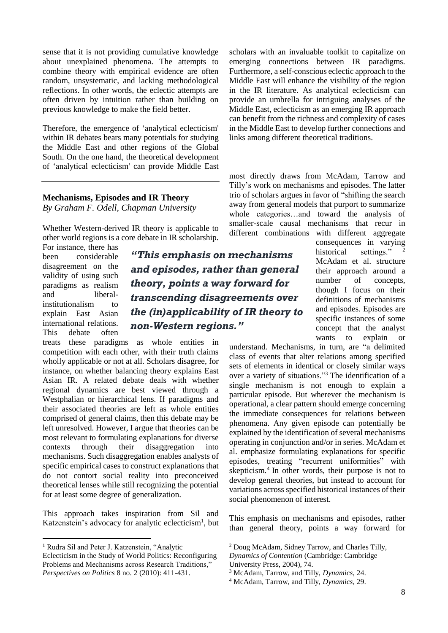sense that it is not providing cumulative knowledge about unexplained phenomena. The attempts to combine theory with empirical evidence are often random, unsystematic, and lacking methodological reflections. In other words, the eclectic attempts are often driven by intuition rather than building on previous knowledge to make the field better.

Therefore, the emergence of 'analytical eclecticism' within IR debates bears many potentials for studying the Middle East and other regions of the Global South. On the one hand, the theoretical development of 'analytical eclecticism' can provide Middle East

#### **Mechanisms, Episodes and IR Theory** *By Graham F. Odell, Chapman University*

Whether Western-derived IR theory is applicable to other world regions is a core debate in IR scholarship.

For instance, there has been considerable disagreement on the validity of using such paradigms as realism and liberalinstitutionalism to explain East Asian international relations. This debate often

1

*"This emphasis on mechanisms and episodes, rather than general theory, points a way forward for transcending disagreements over the (in)applicability of IR theory to non-Western regions."*

treats these paradigms as whole entities in competition with each other, with their truth claims wholly applicable or not at all. Scholars disagree, for instance, on whether balancing theory explains East Asian IR. A related debate deals with whether regional dynamics are best viewed through a Westphalian or hierarchical lens. If paradigms and their associated theories are left as whole entities comprised of general claims, then this debate may be left unresolved. However, I argue that theories can be most relevant to formulating explanations for diverse contexts through their disaggregation into mechanisms. Such disaggregation enables analysts of specific empirical cases to construct explanations that do not contort social reality into preconceived theoretical lenses while still recognizing the potential for at least some degree of generalization.

This approach takes inspiration from Sil and Katzenstein's advocacy for analytic eclecticism<sup>1</sup>, but

scholars with an invaluable toolkit to capitalize on emerging connections between IR paradigms. Furthermore, a self-conscious eclectic approach to the Middle East will enhance the visibility of the region in the IR literature. As analytical eclecticism can provide an umbrella for intriguing analyses of the Middle East, eclecticism as an emerging IR approach can benefit from the richness and complexity of cases in the Middle East to develop further connections and links among different theoretical traditions.

most directly draws from McAdam, Tarrow and Tilly's work on mechanisms and episodes. The latter trio of scholars argues in favor of "shifting the search away from general models that purport to summarize whole categories…and toward the analysis of smaller-scale causal mechanisms that recur in different combinations with different aggregate

consequences in varying historical settings." McAdam et al. structure their approach around a number of concepts, though I focus on their definitions of mechanisms and episodes. Episodes are specific instances of some concept that the analyst wants to explain or

understand. Mechanisms, in turn, are "a delimited class of events that alter relations among specified sets of elements in identical or closely similar ways over a variety of situations."<sup>3</sup> The identification of a single mechanism is not enough to explain a particular episode. But wherever the mechanism is operational, a clear pattern should emerge concerning the immediate consequences for relations between phenomena. Any given episode can potentially be explained by the identification of several mechanisms operating in conjunction and/or in series. McAdam et al. emphasize formulating explanations for specific episodes, treating "recurrent uniformities" with skepticism.<sup>4</sup> In other words, their purpose is not to develop general theories, but instead to account for variations across specified historical instances of their social phenomenon of interest.

This emphasis on mechanisms and episodes, rather than general theory, points a way forward for

<sup>&</sup>lt;sup>1</sup> Rudra Sil and Peter J. Katzenstein, "Analytic Eclecticism in the Study of World Politics: Reconfiguring Problems and Mechanisms across Research Traditions," *Perspectives on Politics* 8 no. 2 (2010): 411-431.

<sup>2</sup> Doug McAdam, Sidney Tarrow, and Charles Tilly,

*Dynamics of Contention* (Cambridge: Cambridge University Press, 2004), 74.

<sup>3</sup> McAdam, Tarrow, and Tilly, *Dynamics*, 24.

<sup>4</sup> McAdam, Tarrow, and Tilly, *Dynamics*, 29.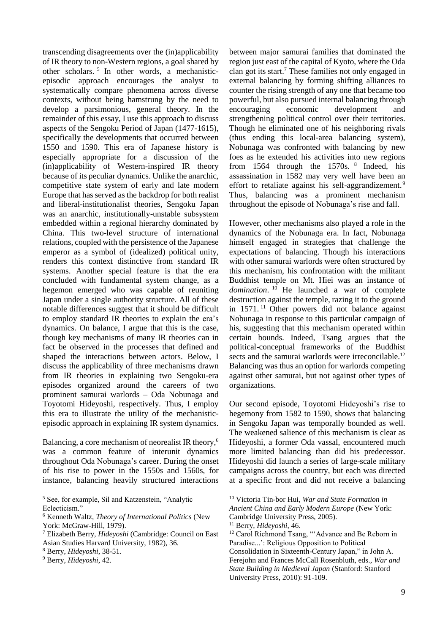transcending disagreements over the (in)applicability of IR theory to non-Western regions, a goal shared by other scholars. <sup>5</sup> In other words, a mechanisticepisodic approach encourages the analyst to systematically compare phenomena across diverse contexts, without being hamstrung by the need to develop a parsimonious, general theory. In the remainder of this essay, I use this approach to discuss aspects of the Sengoku Period of Japan (1477-1615), specifically the developments that occurred between 1550 and 1590. This era of Japanese history is especially appropriate for a discussion of the (in)applicability of Western-inspired IR theory because of its peculiar dynamics. Unlike the anarchic, competitive state system of early and late modern Europe that has served as the backdrop for both realist and liberal-institutionalist theories, Sengoku Japan was an anarchic, institutionally-unstable subsystem embedded within a regional hierarchy dominated by China. This two-level structure of international relations, coupled with the persistence of the Japanese emperor as a symbol of (idealized) political unity, renders this context distinctive from standard IR systems. Another special feature is that the era concluded with fundamental system change, as a hegemon emerged who was capable of reuniting Japan under a single authority structure. All of these notable differences suggest that it should be difficult to employ standard IR theories to explain the era's dynamics. On balance, I argue that this is the case, though key mechanisms of many IR theories can in fact be observed in the processes that defined and shaped the interactions between actors. Below, I discuss the applicability of three mechanisms drawn from IR theories in explaining two Sengoku-era episodes organized around the careers of two prominent samurai warlords – Oda Nobunaga and Toyotomi Hideyoshi, respectively. Thus, I employ this era to illustrate the utility of the mechanisticepisodic approach in explaining IR system dynamics.

Balancing, a core mechanism of neorealist IR theory,<sup>6</sup> was a common feature of interunit dynamics throughout Oda Nobunaga's career. During the onset of his rise to power in the 1550s and 1560s, for instance, balancing heavily structured interactions

1

between major samurai families that dominated the region just east of the capital of Kyoto, where the Oda clan got its start.<sup>7</sup> These families not only engaged in external balancing by forming shifting alliances to counter the rising strength of any one that became too powerful, but also pursued internal balancing through encouraging economic development and strengthening political control over their territories. Though he eliminated one of his neighboring rivals (thus ending this local-area balancing system), Nobunaga was confronted with balancing by new foes as he extended his activities into new regions from 1564 through the 1570s. <sup>8</sup> Indeed, his assassination in 1582 may very well have been an effort to retaliate against his self-aggrandizement. <sup>9</sup> Thus, balancing was a prominent mechanism throughout the episode of Nobunaga's rise and fall.

However, other mechanisms also played a role in the dynamics of the Nobunaga era. In fact, Nobunaga himself engaged in strategies that challenge the expectations of balancing. Though his interactions with other samurai warlords were often structured by this mechanism, his confrontation with the militant Buddhist temple on Mt. Hiei was an instance of *domination*. <sup>10</sup> He launched a war of complete destruction against the temple, razing it to the ground in 1571. <sup>11</sup> Other powers did not balance against Nobunaga in response to this particular campaign of his, suggesting that this mechanism operated within certain bounds. Indeed, Tsang argues that the political-conceptual frameworks of the Buddhist sects and the samurai warlords were irreconcilable.<sup>12</sup> Balancing was thus an option for warlords competing against other samurai, but not against other types of organizations.

Our second episode, Toyotomi Hideyoshi's rise to hegemony from 1582 to 1590, shows that balancing in Sengoku Japan was temporally bounded as well. The weakened salience of this mechanism is clear as Hideyoshi, a former Oda vassal, encountered much more limited balancing than did his predecessor. Hideyoshi did launch a series of large-scale military campaigns across the country, but each was directed at a specific front and did not receive a balancing

<sup>5</sup> See, for example, Sil and Katzenstein, "Analytic Eclecticism."

<sup>6</sup> Kenneth Waltz, *Theory of International Politics* (New York: McGraw-Hill, 1979).

<sup>7</sup> Elizabeth Berry, *Hideyoshi* (Cambridge: Council on East Asian Studies Harvard University, 1982), 36.

<sup>8</sup> Berry, *Hideyoshi*, 38-51.

<sup>9</sup> Berry, *Hideyoshi*, 42.

<sup>10</sup> Victoria Tin-bor Hui, *War and State Formation in Ancient China and Early Modern Europe* (New York: Cambridge University Press, 2005).

<sup>11</sup> Berry, *Hideyoshi*, 46.

<sup>&</sup>lt;sup>12</sup> Carol Richmond Tsang, "'Advance and Be Reborn in Paradise...': Religious Opposition to Political Consolidation in Sixteenth-Century Japan," in John A. Ferejohn and Frances McCall Rosenbluth, eds., *War and State Building in Medieval Japan* (Stanford: Stanford University Press, 2010): 91-109.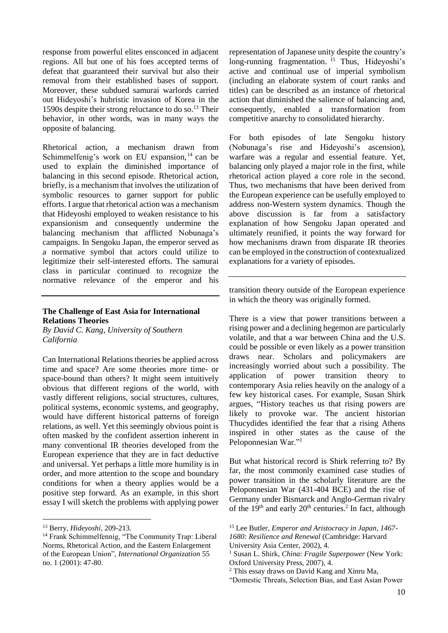response from powerful elites ensconced in adjacent regions. All but one of his foes accepted terms of defeat that guaranteed their survival but also their removal from their established bases of support. Moreover, these subdued samurai warlords carried out Hideyoshi's hubristic invasion of Korea in the 1590s despite their strong reluctance to do so.<sup>13</sup> Their behavior, in other words, was in many ways the opposite of balancing.

Rhetorical action, a mechanism drawn from Schimmelfenig's work on EU expansion,  $14$  can be used to explain the diminished importance of balancing in this second episode. Rhetorical action, briefly, is a mechanism that involves the utilization of symbolic resources to garner support for public efforts. I argue that rhetorical action was a mechanism that Hideyoshi employed to weaken resistance to his expansionism and consequently undermine the balancing mechanism that afflicted Nobunaga's campaigns. In Sengoku Japan, the emperor served as a normative symbol that actors could utilize to legitimize their self-interested efforts. The samurai class in particular continued to recognize the normative relevance of the emperor and his

#### **The Challenge of East Asia for International Relations Theories**

*By David C. Kang, University of Southern California*

Can International Relations theories be applied across time and space? Are some theories more time- or space-bound than others? It might seem intuitively obvious that different regions of the world, with vastly different religions, social structures, cultures, political systems, economic systems, and geography, would have different historical patterns of foreign relations, as well. Yet this seemingly obvious point is often masked by the confident assertion inherent in many conventional IR theories developed from the European experience that they are in fact deductive and universal. Yet perhaps a little more humility is in order, and more attention to the scope and boundary conditions for when a theory applies would be a positive step forward. As an example, in this short essay I will sketch the problems with applying power

1

representation of Japanese unity despite the country's long-running fragmentation. <sup>15</sup> Thus, Hideyoshi's active and continual use of imperial symbolism (including an elaborate system of court ranks and titles) can be described as an instance of rhetorical action that diminished the salience of balancing and, consequently, enabled a transformation from competitive anarchy to consolidated hierarchy.

For both episodes of late Sengoku history (Nobunaga's rise and Hideyoshi's ascension), warfare was a regular and essential feature. Yet, balancing only played a major role in the first, while rhetorical action played a core role in the second. Thus, two mechanisms that have been derived from the European experience can be usefully employed to address non-Western system dynamics. Though the above discussion is far from a satisfactory explanation of how Sengoku Japan operated and ultimately reunified, it points the way forward for how mechanisms drawn from disparate IR theories can be employed in the construction of contextualized explanations for a variety of episodes.

transition theory outside of the European experience in which the theory was originally formed.

There is a view that power transitions between a rising power and a declining hegemon are particularly volatile, and that a war between China and the U.S. could be possible or even likely as a power transition draws near. Scholars and policymakers are increasingly worried about such a possibility. The application of power transition theory to contemporary Asia relies heavily on the analogy of a few key historical cases. For example, Susan Shirk argues, "History teaches us that rising powers are likely to provoke war. The ancient historian Thucydides identified the fear that a rising Athens inspired in other states as the cause of the Peloponnesian War."<sup>1</sup>

But what historical record is Shirk referring to? By far, the most commonly examined case studies of power transition in the scholarly literature are the Peloponnesian War (431-404 BCE) and the rise of Germany under Bismarck and Anglo-German rivalry of the  $19<sup>th</sup>$  and early  $20<sup>th</sup>$  centuries.<sup>2</sup> In fact, although

University Asia Center, 2002), 4.

<sup>13</sup> Berry, *Hideyoshi*, 209-213.

<sup>14</sup> Frank Schimmelfennig, "The Community Trap: Liberal Norms, Rhetorical Action, and the Eastern Enlargement of the European Union", *International Organization* 55 no. 1 (2001): 47-80.

<sup>15</sup> Lee Butler, *Emperor and Aristocracy in Japan, 1467- 1680: Resilience and Renewal* (Cambridge: Harvard

<sup>1</sup> Susan L. Shirk, *China*: *Fragile Superpower* (New York: Oxford University Press, 2007), 4.

<sup>2</sup> This essay draws on David Kang and Xinru Ma,

<sup>&</sup>quot;Domestic Threats, Selection Bias, and East Asian Power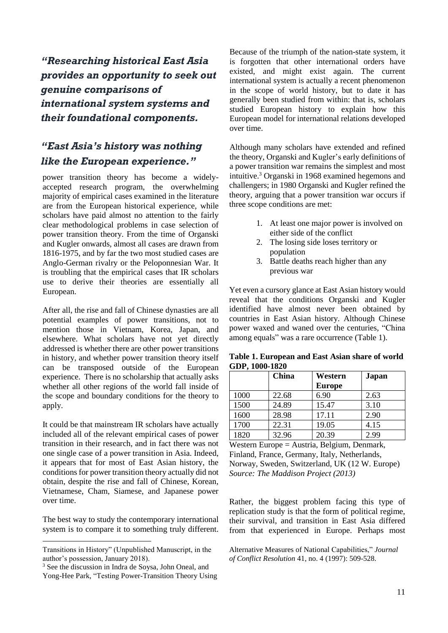*"Researching historical East Asia provides an opportunity to seek out genuine comparisons of international system systems and their foundational components.*

# *"East Asia's history was nothing like the European experience."*

power transition theory has become a widelyaccepted research program, the overwhelming majority of empirical cases examined in the literature are from the European historical experience, while scholars have paid almost no attention to the fairly clear methodological problems in case selection of power transition theory. From the time of Organski and Kugler onwards, almost all cases are drawn from 1816-1975, and by far the two most studied cases are Anglo-German rivalry or the Peloponnesian War. It is troubling that the empirical cases that IR scholars use to derive their theories are essentially all European.

After all, the rise and fall of Chinese dynasties are all potential examples of power transitions, not to mention those in Vietnam, Korea, Japan, and elsewhere. What scholars have not yet directly addressed is whether there are other power transitions in history, and whether power transition theory itself can be transposed outside of the European experience. There is no scholarship that actually asks whether all other regions of the world fall inside of the scope and boundary conditions for the theory to apply.

It could be that mainstream IR scholars have actually included all of the relevant empirical cases of power transition in their research, and in fact there was not one single case of a power transition in Asia. Indeed, it appears that for most of East Asian history, the conditions for power transition theory actually did not obtain, despite the rise and fall of Chinese, Korean, Vietnamese, Cham, Siamese, and Japanese power over time.

The best way to study the contemporary international system is to compare it to something truly different.

1

Because of the triumph of the nation-state system, it is forgotten that other international orders have existed, and might exist again. The current international system is actually a recent phenomenon in the scope of world history, but to date it has generally been studied from within: that is, scholars studied European history to explain how this European model for international relations developed over time.

Although many scholars have extended and refined the theory, Organski and Kugler's early definitions of a power transition war remains the simplest and most intuitive.<sup>3</sup> Organski in 1968 examined hegemons and challengers; in 1980 Organski and Kugler refined the theory, arguing that a power transition war occurs if three scope conditions are met:

- 1. At least one major power is involved on either side of the conflict
- 2. The losing side loses territory or population
- 3. Battle deaths reach higher than any previous war

Yet even a cursory glance at East Asian history would reveal that the conditions Organski and Kugler identified have almost never been obtained by countries in East Asian history. Although Chinese power waxed and waned over the centuries, "China among equals" was a rare occurrence (Table 1).

**Table 1. European and East Asian share of world GDP, 1000-1820**

|      | China | Western       | Japan |
|------|-------|---------------|-------|
|      |       | <b>Europe</b> |       |
| 1000 | 22.68 | 6.90          | 2.63  |
| 1500 | 24.89 | 15.47         | 3.10  |
| 1600 | 28.98 | 17.11         | 2.90  |
| 1700 | 22.31 | 19.05         | 4.15  |
| 1820 | 32.96 | 20.39         | 2.99  |

Western Europe = Austria, Belgium, Denmark, Finland, France, Germany, Italy, Netherlands, Norway, Sweden, Switzerland, UK (12 W. Europe) *Source: The Maddison Project (2013)*

Rather, the biggest problem facing this type of replication study is that the form of political regime, their survival, and transition in East Asia differed from that experienced in Europe. Perhaps most

Transitions in History" (Unpublished Manuscript, in the author's possession, January 2018).

<sup>3</sup> See the discussion in Indra de Soysa, John Oneal, and Yong-Hee Park, "Testing Power-Transition Theory Using

Alternative Measures of National Capabilities," *Journal of Conflict Resolution* 41, no. 4 (1997): 509-528.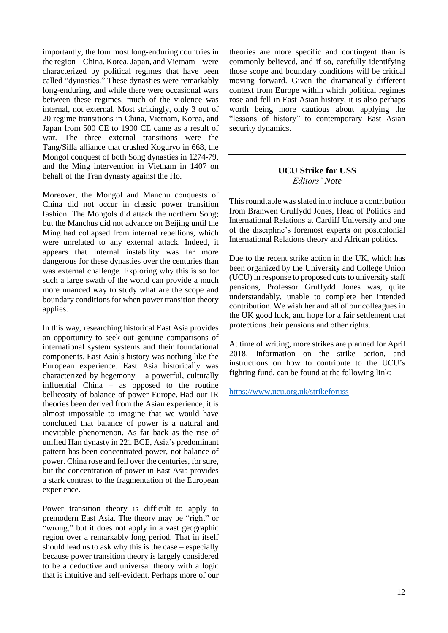importantly, the four most long-enduring countries in the region – China, Korea, Japan, and Vietnam – were characterized by political regimes that have been called "dynasties." These dynasties were remarkably long-enduring, and while there were occasional wars between these regimes, much of the violence was internal, not external. Most strikingly, only 3 out of 20 regime transitions in China, Vietnam, Korea, and Japan from 500 CE to 1900 CE came as a result of war. The three external transitions were the Tang/Silla alliance that crushed Koguryo in 668, the Mongol conquest of both Song dynasties in 1274-79, and the Ming intervention in Vietnam in 1407 on behalf of the Tran dynasty against the Ho.

Moreover, the Mongol and Manchu conquests of China did not occur in classic power transition fashion. The Mongols did attack the northern Song; but the Manchus did not advance on Beijing until the Ming had collapsed from internal rebellions, which were unrelated to any external attack. Indeed, it appears that internal instability was far more dangerous for these dynasties over the centuries than was external challenge. Exploring why this is so for such a large swath of the world can provide a much more nuanced way to study what are the scope and boundary conditions for when power transition theory applies.

In this way, researching historical East Asia provides an opportunity to seek out genuine comparisons of international system systems and their foundational components. East Asia's history was nothing like the European experience. East Asia historically was characterized by hegemony  $-$  a powerful, culturally influential China – as opposed to the routine bellicosity of balance of power Europe. Had our IR theories been derived from the Asian experience, it is almost impossible to imagine that we would have concluded that balance of power is a natural and inevitable phenomenon. As far back as the rise of unified Han dynasty in 221 BCE, Asia's predominant pattern has been concentrated power, not balance of power. China rose and fell over the centuries, for sure, but the concentration of power in East Asia provides a stark contrast to the fragmentation of the European experience.

Power transition theory is difficult to apply to premodern East Asia. The theory may be "right" or "wrong," but it does not apply in a vast geographic region over a remarkably long period. That in itself should lead us to ask why this is the case – especially because power transition theory is largely considered to be a deductive and universal theory with a logic that is intuitive and self-evident. Perhaps more of our

theories are more specific and contingent than is commonly believed, and if so, carefully identifying those scope and boundary conditions will be critical moving forward. Given the dramatically different context from Europe within which political regimes rose and fell in East Asian history, it is also perhaps worth being more cautious about applying the "lessons of history" to contemporary East Asian security dynamics.

## **UCU Strike for USS** *Editors' Note*

This roundtable was slated into include a contribution from Branwen Gruffydd Jones, Head of Politics and International Relations at Cardiff University and one of the discipline's foremost experts on postcolonial International Relations theory and African politics.

Due to the recent strike action in the UK, which has been organized by the University and College Union (UCU) in response to proposed cuts to university staff pensions, Professor Gruffydd Jones was, quite understandably, unable to complete her intended contribution. We wish her and all of our colleagues in the UK good luck, and hope for a fair settlement that protections their pensions and other rights.

At time of writing, more strikes are planned for April 2018. Information on the strike action, and instructions on how to contribute to the UCU's fighting fund, can be found at the following link:

<https://www.ucu.org.uk/strikeforuss>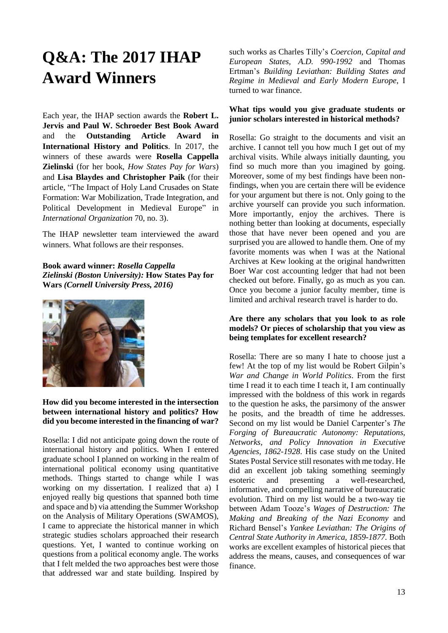# **Q&A: The 2017 IHAP Award Winners**

Each year, the IHAP section awards the **Robert L. Jervis and Paul W. Schroeder Best Book Award** and the **Outstanding Article Award in International History and Politics**. In 2017, the winners of these awards were **Rosella Cappella Zielinski** (for her book, *How States Pay for Wars*) and **Lisa Blaydes and Christopher Paik** (for their article, "The Impact of Holy Land Crusades on State Formation: War Mobilization, Trade Integration, and Political Development in Medieval Europe" in *International Organization* 70, no. 3).

The IHAP newsletter team interviewed the award winners. What follows are their responses.

**Book award winner:** *Rosella Cappella Zielinski (Boston University):* **How States Pay for Wars** *(Cornell University Press, 2016)*



#### **How did you become interested in the intersection between international history and politics? How did you become interested in the financing of war?**

Rosella: I did not anticipate going down the route of international history and politics. When I entered graduate school I planned on working in the realm of international political economy using quantitative methods. Things started to change while I was working on my dissertation. I realized that a) I enjoyed really big questions that spanned both time and space and b) via attending the Summer Workshop on the Analysis of Military Operations (SWAMOS), I came to appreciate the historical manner in which strategic studies scholars approached their research questions. Yet, I wanted to continue working on questions from a political economy angle. The works that I felt melded the two approaches best were those that addressed war and state building. Inspired by

such works as Charles Tilly's *Coercion, Capital and European States, A.D. 990-1992* and Thomas Ertman's *Building Leviathan: Building States and Regime in Medieval and Early Modern Europe*, I turned to war finance.

#### **What tips would you give graduate students or junior scholars interested in historical methods?**

Rosella: Go straight to the documents and visit an archive. I cannot tell you how much I get out of my archival visits. While always initially daunting, you find so much more than you imagined by going. Moreover, some of my best findings have been nonfindings, when you are certain there will be evidence for your argument but there is not. Only going to the archive yourself can provide you such information. More importantly, enjoy the archives. There is nothing better than looking at documents, especially those that have never been opened and you are surprised you are allowed to handle them. One of my favorite moments was when I was at the National Archives at Kew looking at the original handwritten Boer War cost accounting ledger that had not been checked out before. Finally, go as much as you can. Once you become a junior faculty member, time is limited and archival research travel is harder to do.

#### **Are there any scholars that you look to as role models? Or pieces of scholarship that you view as being templates for excellent research?**

Rosella: There are so many I hate to choose just a few! At the top of my list would be Robert Gilpin's *War and Change in World Politics*. From the first time I read it to each time I teach it, I am continually impressed with the boldness of this work in regards to the question he asks, the parsimony of the answer he posits, and the breadth of time he addresses. Second on my list would be Daniel Carpenter's *The Forging of Bureaucratic Autonomy: Reputations, Networks, and Policy Innovation in Executive Agencies, 1862-1928*. His case study on the United States Postal Service still resonates with me today. He did an excellent job taking something seemingly esoteric and presenting a well-researched, informative, and compelling narrative of bureaucratic evolution. Third on my list would be a two-way tie between Adam Tooze's *Wages of Destruction: The Making and Breaking of the Nazi Economy* and Richard Bensel's *Yankee Leviathan: The Origins of Central State Authority in America, 1859-1877.* Both works are excellent examples of historical pieces that address the means, causes, and consequences of war finance.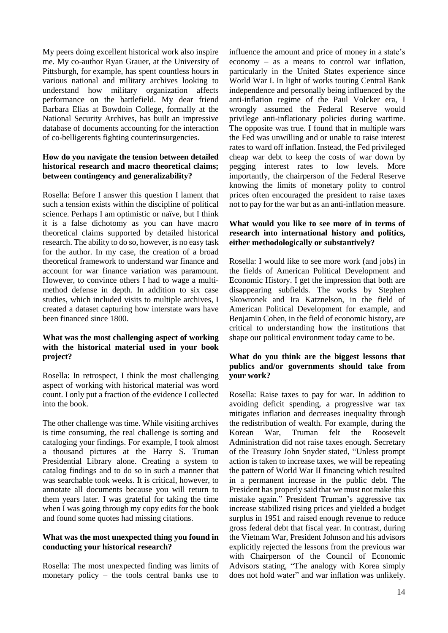My peers doing excellent historical work also inspire me. My co-author Ryan Grauer, at the University of Pittsburgh, for example, has spent countless hours in various national and military archives looking to understand how military organization affects performance on the battlefield. My dear friend Barbara Elias at Bowdoin College, formally at the National Security Archives, has built an impressive database of documents accounting for the interaction of co-belligerents fighting counterinsurgencies.

#### **How do you navigate the tension between detailed historical research and macro theoretical claims; between contingency and generalizability?**

Rosella: Before I answer this question I lament that such a tension exists within the discipline of political science. Perhaps I am optimistic or naïve, but I think it is a false dichotomy as you can have macro theoretical claims supported by detailed historical research. The ability to do so, however, is no easy task for the author. In my case, the creation of a broad theoretical framework to understand war finance and account for war finance variation was paramount. However, to convince others I had to wage a multimethod defense in depth. In addition to six case studies, which included visits to multiple archives, I created a dataset capturing how interstate wars have been financed since 1800.

#### **What was the most challenging aspect of working with the historical material used in your book project?**

Rosella: In retrospect, I think the most challenging aspect of working with historical material was word count. I only put a fraction of the evidence I collected into the book.

The other challenge was time. While visiting archives is time consuming, the real challenge is sorting and cataloging your findings. For example, I took almost a thousand pictures at the Harry S. Truman Presidential Library alone. Creating a system to catalog findings and to do so in such a manner that was searchable took weeks. It is critical, however, to annotate all documents because you will return to them years later. I was grateful for taking the time when I was going through my copy edits for the book and found some quotes had missing citations.

#### **What was the most unexpected thing you found in conducting your historical research?**

Rosella: The most unexpected finding was limits of monetary policy – the tools central banks use to influence the amount and price of money in a state's economy – as a means to control war inflation, particularly in the United States experience since World War I. In light of works touting Central Bank independence and personally being influenced by the anti-inflation regime of the Paul Volcker era, I wrongly assumed the Federal Reserve would privilege anti-inflationary policies during wartime. The opposite was true. I found that in multiple wars the Fed was unwilling and or unable to raise interest rates to ward off inflation. Instead, the Fed privileged cheap war debt to keep the costs of war down by pegging interest rates to low levels. More importantly, the chairperson of the Federal Reserve knowing the limits of monetary polity to control prices often encouraged the president to raise taxes not to pay for the war but as an anti-inflation measure.

#### **What would you like to see more of in terms of research into international history and politics, either methodologically or substantively?**

Rosella: I would like to see more work (and jobs) in the fields of American Political Development and Economic History. I get the impression that both are disappearing subfields. The works by Stephen Skowronek and Ira Katznelson, in the field of American Political Development for example, and Benjamin Cohen, in the field of economic history, are critical to understanding how the institutions that shape our political environment today came to be.

#### **What do you think are the biggest lessons that publics and/or governments should take from your work?**

Rosella: Raise taxes to pay for war. In addition to avoiding deficit spending, a progressive war tax mitigates inflation and decreases inequality through the redistribution of wealth. For example, during the Korean War, Truman felt the Roosevelt Administration did not raise taxes enough. Secretary of the Treasury John Snyder stated, "Unless prompt action is taken to increase taxes, we will be repeating the pattern of World War II financing which resulted in a permanent increase in the public debt. The President has properly said that we must not make this mistake again." President Truman's aggressive tax increase stabilized rising prices and yielded a budget surplus in 1951 and raised enough revenue to reduce gross federal debt that fiscal year. In contrast, during the Vietnam War, President Johnson and his advisors explicitly rejected the lessons from the previous war with Chairperson of the Council of Economic Advisors stating, "The analogy with Korea simply does not hold water" and war inflation was unlikely.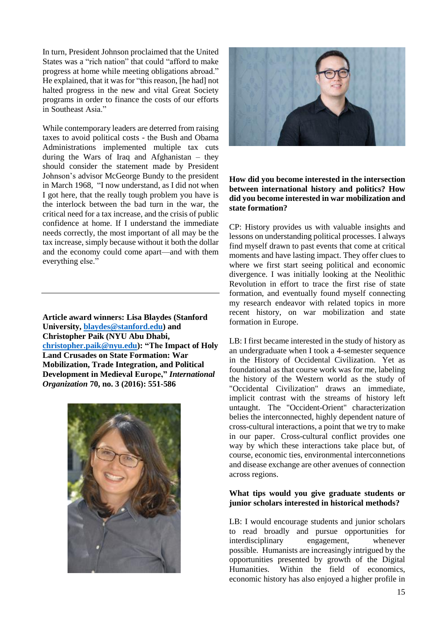In turn, President Johnson proclaimed that the United States was a "rich nation" that could "afford to make progress at home while meeting obligations abroad." He explained, that it was for "this reason, [he had] not halted progress in the new and vital Great Society programs in order to finance the costs of our efforts in Southeast Asia."

While contemporary leaders are deterred from raising taxes to avoid political costs - the Bush and Obama Administrations implemented multiple tax cuts during the Wars of Iraq and Afghanistan – they should consider the statement made by President Johnson's advisor McGeorge Bundy to the president in March 1968, "I now understand, as I did not when I got here, that the really tough problem you have is the interlock between the bad turn in the war, the critical need for a tax increase, and the crisis of public confidence at home. If I understand the immediate needs correctly, the most important of all may be the tax increase, simply because without it both the dollar and the economy could come apart—and with them everything else."

**Article award winners: Lisa Blaydes (Stanford University, [blaydes@stanford.edu\)](mailto:blaydes@stanford.edu) and Christopher Paik (NYU Abu Dhabi, [christopher.paik@nyu.edu\)](mailto:christopher.paik@nyu.edu): "The Impact of Holy Land Crusades on State Formation: War Mobilization, Trade Integration, and Political Development in Medieval Europe,"** *International Organization* **70, no. 3 (2016): 551-586**





#### **How did you become interested in the intersection between international history and politics? How did you become interested in war mobilization and state formation?**

CP: History provides us with valuable insights and lessons on understanding political processes. I always find myself drawn to past events that come at critical moments and have lasting impact. They offer clues to where we first start seeing political and economic divergence. I was initially looking at the Neolithic Revolution in effort to trace the first rise of state formation, and eventually found myself connecting my research endeavor with related topics in more recent history, on war mobilization and state formation in Europe.

LB: I first became interested in the study of history as an undergraduate when I took a 4-semester sequence in the History of Occidental Civilization. Yet as foundational as that course work was for me, labeling the history of the Western world as the study of "Occidental Civilization" draws an immediate, implicit contrast with the streams of history left untaught. The "Occident-Orient" characterization belies the interconnected, highly dependent nature of cross-cultural interactions, a point that we try to make in our paper. Cross-cultural conflict provides one way by which these interactions take place but, of course, economic ties, environmental interconnetions and disease exchange are other avenues of connection across regions.

#### **What tips would you give graduate students or junior scholars interested in historical methods?**

LB: I would encourage students and junior scholars to read broadly and pursue opportunities for interdisciplinary engagement, whenever possible. Humanists are increasingly intrigued by the opportunities presented by growth of the Digital Humanities. Within the field of economics, economic history has also enjoyed a higher profile in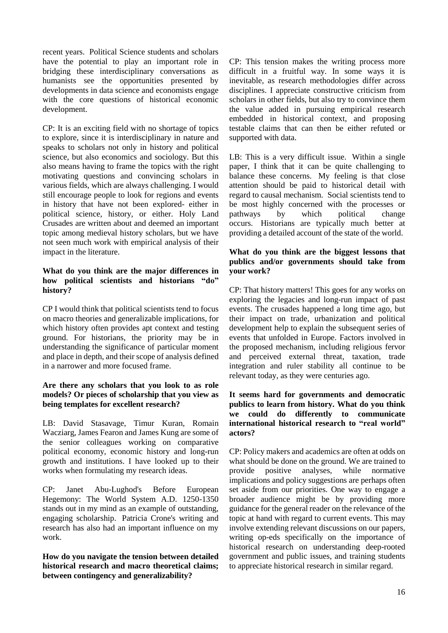recent years. Political Science students and scholars have the potential to play an important role in bridging these interdisciplinary conversations as humanists see the opportunities presented by developments in data science and economists engage with the core questions of historical economic development.

CP: It is an exciting field with no shortage of topics to explore, since it is interdisciplinary in nature and speaks to scholars not only in history and political science, but also economics and sociology. But this also means having to frame the topics with the right motivating questions and convincing scholars in various fields, which are always challenging. I would still encourage people to look for regions and events in history that have not been explored- either in political science, history, or either. Holy Land Crusades are written about and deemed an important topic among medieval history scholars, but we have not seen much work with empirical analysis of their impact in the literature.

#### **What do you think are the major differences in how political scientists and historians "do" history?**

CP I would think that political scientists tend to focus on macro theories and generalizable implications, for which history often provides apt context and testing ground. For historians, the priority may be in understanding the significance of particular moment and place in depth, and their scope of analysis defined in a narrower and more focused frame.

#### **Are there any scholars that you look to as role models? Or pieces of scholarship that you view as being templates for excellent research?**

LB: David Stasavage, Timur Kuran, Romain Wacziarg, James Fearon and James Kung are some of the senior colleagues working on comparative political economy, economic history and long-run growth and institutions. I have looked up to their works when formulating my research ideas.

CP: Janet Abu-Lughod's Before European Hegemony: The World System A.D. 1250-1350 stands out in my mind as an example of outstanding, engaging scholarship. Patricia Crone's writing and research has also had an important influence on my work.

**How do you navigate the tension between detailed historical research and macro theoretical claims; between contingency and generalizability?**

CP: This tension makes the writing process more difficult in a fruitful way. In some ways it is inevitable, as research methodologies differ across disciplines. I appreciate constructive criticism from scholars in other fields, but also try to convince them the value added in pursuing empirical research embedded in historical context, and proposing testable claims that can then be either refuted or supported with data.

LB: This is a very difficult issue. Within a single paper, I think that it can be quite challenging to balance these concerns. My feeling is that close attention should be paid to historical detail with regard to causal mechanism. Social scientists tend to be most highly concerned with the processes or pathways by which political change occurs. Historians are typically much better at providing a detailed account of the state of the world.

#### **What do you think are the biggest lessons that publics and/or governments should take from your work?**

CP: That history matters! This goes for any works on exploring the legacies and long-run impact of past events. The crusades happened a long time ago, but their impact on trade, urbanization and political development help to explain the subsequent series of events that unfolded in Europe. Factors involved in the proposed mechanism, including religious fervor and perceived external threat, taxation, trade integration and ruler stability all continue to be relevant today, as they were centuries ago.

#### **It seems hard for governments and democratic publics to learn from history. What do you think we could do differently to communicate international historical research to "real world" actors?**

CP: Policy makers and academics are often at odds on what should be done on the ground. We are trained to provide positive analyses, while normative implications and policy suggestions are perhaps often set aside from our priorities. One way to engage a broader audience might be by providing more guidance for the general reader on the relevance of the topic at hand with regard to current events. This may involve extending relevant discussions on our papers, writing op-eds specifically on the importance of historical research on understanding deep-rooted government and public issues, and training students to appreciate historical research in similar regard.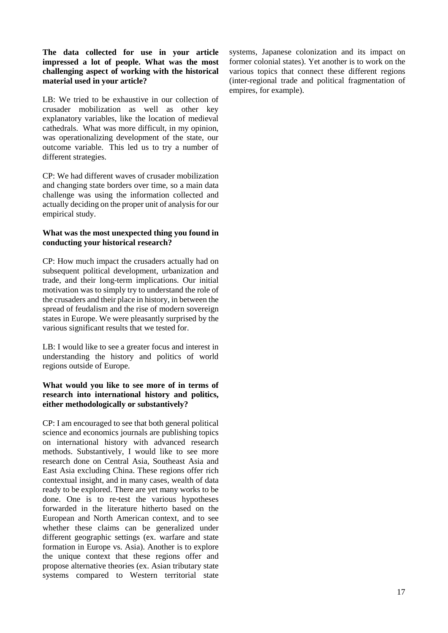#### **The data collected for use in your article impressed a lot of people. What was the most challenging aspect of working with the historical material used in your article?**

LB: We tried to be exhaustive in our collection of crusader mobilization as well as other key explanatory variables, like the location of medieval cathedrals. What was more difficult, in my opinion, was operationalizing development of the state, our outcome variable. This led us to try a number of different strategies.

CP: We had different waves of crusader mobilization and changing state borders over time, so a main data challenge was using the information collected and actually deciding on the proper unit of analysisfor our empirical study.

#### **What was the most unexpected thing you found in conducting your historical research?**

CP: How much impact the crusaders actually had on subsequent political development, urbanization and trade, and their long-term implications. Our initial motivation was to simply try to understand the role of the crusaders and their place in history, in between the spread of feudalism and the rise of modern sovereign states in Europe. We were pleasantly surprised by the various significant results that we tested for.

LB: I would like to see a greater focus and interest in understanding the history and politics of world regions outside of Europe.

#### **What would you like to see more of in terms of research into international history and politics, either methodologically or substantively?**

CP: I am encouraged to see that both general political science and economics journals are publishing topics on international history with advanced research methods. Substantively, I would like to see more research done on Central Asia, Southeast Asia and East Asia excluding China. These regions offer rich contextual insight, and in many cases, wealth of data ready to be explored. There are yet many works to be done. One is to re-test the various hypotheses forwarded in the literature hitherto based on the European and North American context, and to see whether these claims can be generalized under different geographic settings (ex. warfare and state formation in Europe vs. Asia). Another is to explore the unique context that these regions offer and propose alternative theories (ex. Asian tributary state systems compared to Western territorial state systems, Japanese colonization and its impact on former colonial states). Yet another is to work on the various topics that connect these different regions (inter-regional trade and political fragmentation of empires, for example).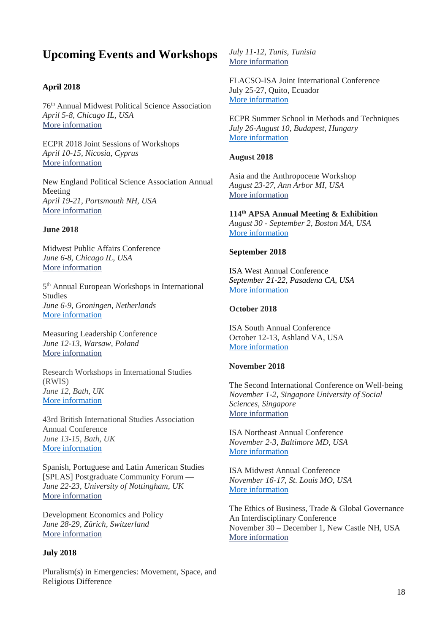# **Upcoming Events and Workshops**

#### **April 2018**

76th Annual Midwest Political Science Association *April 5-8, Chicago IL, USA* More [information](http://www.mpsanet.org/conference)

ECPR 2018 Joint Sessions of Workshops *April 10-15, Nicosia, Cyprus* More [information](https://ecpr.eu/Events/EventDetails.aspx?EventID=112)

New England Political Science Association Annual Meeting *April 19-21, Portsmouth NH, USA* More [information](https://www.nepsanet.org/2018generalinfo)

#### **June 2018**

Midwest Public Affairs Conference *June 6-8, Chicago IL, USA* More [information](http://midwestpac.com/)

5 th Annual European Workshops in International Studies *June 6-9, Groningen, Netherlands* [More information](http://www.eisa-net.org/eisa-net.org/sitecore/content/be-bruga/eisa/events/ewis.html)

Measuring Leadership Conference *June 12-13, Warsaw, Poland*  More [information](http://www.apsanet.org/Portals/54/Users/131/91/41091/Measuring%20Leadership_Call%20for%20Papers.pdf?ver=2018-02-22-115116-443)

Research Workshops in International Studies (RWIS) *June 12, Bath, UK* [More information](https://www.bisa.ac.uk/index.php/35-conferences/conferences/370-bisa-40-workshops)

43rd British International Studies Association Annual Conference *June 13-15, Bath, UK* [More information](https://www.bisa.ac.uk/index.php/conferences-a-events/42nd-annual-conference-2017)

Spanish, Portuguese and Latin American Studies [SPLAS] Postgraduate Community Forum — *June 22-23, University of Nottingham, UK* More [information](http://www.apsanet.org/Portals/54/Users/131/91/41091/SPLAS%20Forum%202018%20CFP.pdf?ver=2018-03-07-111249-203)

Development Economics and Policy *June 28-29, Zürich, Switzerland* More [information](http://entwicklungsoekonomischer-ausschuss.de/?lang=en)

#### **July 2018**

Pluralism(s) in Emergencies: Movement, Space, and Religious Difference

*July 11-12, Tunis, Tunisia* More [information](http://www.apsanet.org/Portals/54/Users/131/91/41091/Pluralism%20in%20Emergencies_Call%20for%20Proposals.pdf?ver=2018-03-06-152228-433)

FLACSO-ISA Joint International Conference July 25-27, Quito, Ecuador [More information](https://www.isanet.org/Conferences/FLACSO-Quito-2018)

ECPR Summer School in Methods and Techniques *July 26-August 10, Budapest, Hungary* [More information](https://ecpr.eu/Events/EventDetails.aspx?EventID=125)

#### **August 2018**

Asia and the Anthropocene Workshop *August 23-27, Ann Arbor MI, USA* More [information](http://www.asian-studies.org/anthropocene)

**114th APSA Annual Meeting & Exhibition** *August 30 - September 2, Boston MA, USA* [More information](https://connect.apsanet.org/apsa2018/)

#### **September 2018**

ISA West Annual Conference *September 21-22, Pasadena CA, USA* [More information](https://www.isanet.org/Conferences/West-Pasadena-2018)

#### **October 2018**

ISA South Annual Conference October 12-13, Ashland VA, USA [More information](https://www.isanet.org/Conferences/South-Ashland-2018)

#### **November 2018**

The Second International Conference on Well-being *November 1-2, Singapore University of Social Sciences, Singapore* More [information](http://www.suss.edu.sg/microsites/SASS/WB2018/index.html)

ISA Northeast Annual Conference *November 2-3, Baltimore MD, USA* [More information](https://www.isanet.org/Conferences/NEBaltimore2018.aspx)

ISA Midwest Annual Conference *November 16-17, St. Louis MO, USA* [More information](https://www.isanet.org/Conferences/Midwest-St-Louis-2018)

The Ethics of Business, Trade & Global Governance An Interdisciplinary Conference November 30 – December 1, New Castle NH, USA More [information](https://www.anselm.edu/ethics-governance/ethics-business-trade-global-governance-interdisciplinary-conference)